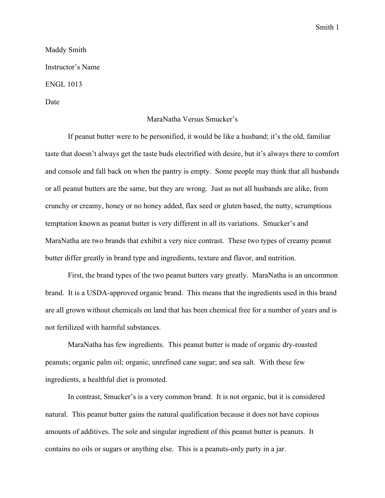Smith 1

Maddy Smith Instructor's Name ENGL 1013 Date

## MaraNatha Versus Smucker's

If peanut butter were to be personified, it would be like a husband; it's the old, familiar taste that doesn't always get the taste buds electrified with desire, but it's always there to comfort and console and fall back on when the pantry is empty. Some people may think that all husbands or all peanut butters are the same, but they are wrong. Just as not all husbands are alike, from crunchy or creamy, honey or no honey added, flax seed or gluten based, the nutty, scrumptious temptation known as peanut butter is very different in all its variations. Smucker's and MaraNatha are two brands that exhibit a very nice contrast. These two types of creamy peanut butter differ greatly in brand type and ingredients, texture and flavor, and nutrition.

First, the brand types of the two peanut butters vary greatly. MaraNatha is an uncommon brand. It is a USDA-approved organic brand. This means that the ingredients used in this brand are all grown without chemicals on land that has been chemical free for a number of years and is not fertilized with harmful substances.

MaraNatha has few ingredients. This peanut butter is made of organic dry-roasted peanuts; organic palm oil; organic, unrefined cane sugar; and sea salt. With these few ingredients, a healthful diet is promoted.

In contrast, Smucker's is a very common brand. It is not organic, but it is considered natural. This peanut butter gains the natural qualification because it does not have copious amounts of additives. The sole and singular ingredient of this peanut butter is peanuts. It contains no oils or sugars or anything else. This is a peanuts-only party in a jar.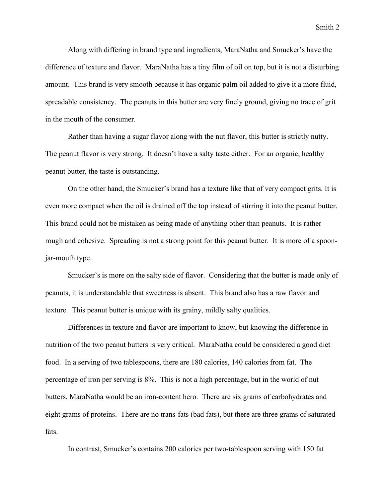Along with differing in brand type and ingredients, MaraNatha and Smucker's have the difference of texture and flavor. MaraNatha has a tiny film of oil on top, but it is not a disturbing amount. This brand is very smooth because it has organic palm oil added to give it a more fluid, spreadable consistency. The peanuts in this butter are very finely ground, giving no trace of grit in the mouth of the consumer.

Rather than having a sugar flavor along with the nut flavor, this butter is strictly nutty. The peanut flavor is very strong. It doesn't have a salty taste either. For an organic, healthy peanut butter, the taste is outstanding.

On the other hand, the Smucker's brand has a texture like that of very compact grits. It is even more compact when the oil is drained off the top instead of stirring it into the peanut butter. This brand could not be mistaken as being made of anything other than peanuts. It is rather rough and cohesive. Spreading is not a strong point for this peanut butter. It is more of a spoonjar-mouth type.

Smucker's is more on the salty side of flavor. Considering that the butter is made only of peanuts, it is understandable that sweetness is absent. This brand also has a raw flavor and texture. This peanut butter is unique with its grainy, mildly salty qualities.

Differences in texture and flavor are important to know, but knowing the difference in nutrition of the two peanut butters is very critical. MaraNatha could be considered a good diet food. In a serving of two tablespoons, there are 180 calories, 140 calories from fat. The percentage of iron per serving is 8%. This is not a high percentage, but in the world of nut butters, MaraNatha would be an iron-content hero. There are six grams of carbohydrates and eight grams of proteins. There are no trans-fats (bad fats), but there are three grams of saturated fats.

In contrast, Smucker's contains 200 calories per two-tablespoon serving with 150 fat